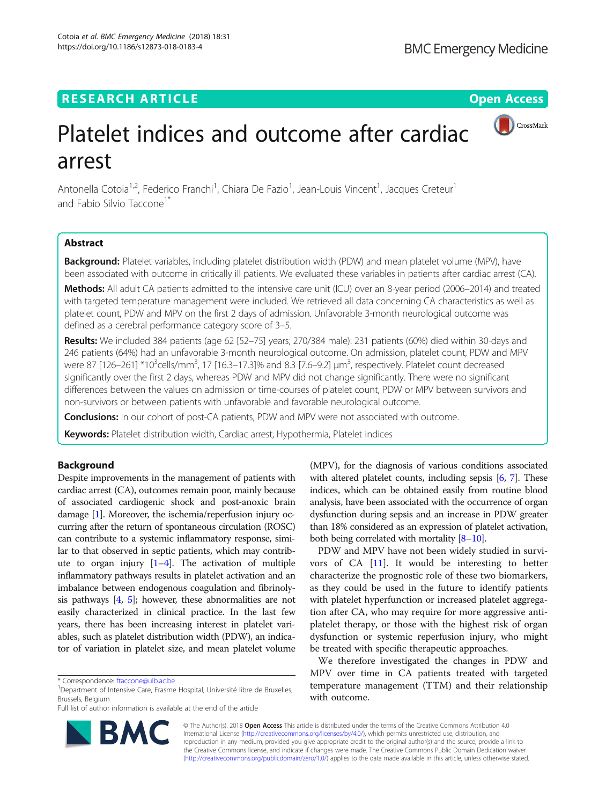# **RESEARCH ARTICLE Example 2014 12:30 The Open Access**



# Platelet indices and outcome after cardiac arrest

Antonella Cotoia<sup>1,2</sup>, Federico Franchi<sup>1</sup>, Chiara De Fazio<sup>1</sup>, Jean-Louis Vincent<sup>1</sup>, Jacques Creteur<sup>1</sup> and Fabio Silvio Taccone<sup>1\*</sup>

# Abstract

Background: Platelet variables, including platelet distribution width (PDW) and mean platelet volume (MPV), have been associated with outcome in critically ill patients. We evaluated these variables in patients after cardiac arrest (CA).

Methods: All adult CA patients admitted to the intensive care unit (ICU) over an 8-year period (2006–2014) and treated with targeted temperature management were included. We retrieved all data concerning CA characteristics as well as platelet count, PDW and MPV on the first 2 days of admission. Unfavorable 3-month neurological outcome was defined as a cerebral performance category score of 3–5.

Results: We included 384 patients (age 62 [52-75] years; 270/384 male): 231 patients (60%) died within 30-days and 246 patients (64%) had an unfavorable 3-month neurological outcome. On admission, platelet count, PDW and MPV were 87 [126–261] \*10<sup>3</sup>cells/mm<sup>3</sup>, 17 [16.3–17.3]% and 8.3 [7.6–9.2] μm<sup>3</sup>, respectively. Platelet count decreased significantly over the first 2 days, whereas PDW and MPV did not change significantly. There were no significant differences between the values on admission or time-courses of platelet count, PDW or MPV between survivors and non-survivors or between patients with unfavorable and favorable neurological outcome.

**Conclusions:** In our cohort of post-CA patients, PDW and MPV were not associated with outcome.

Keywords: Platelet distribution width, Cardiac arrest, Hypothermia, Platelet indices

# Background

Despite improvements in the management of patients with cardiac arrest (CA), outcomes remain poor, mainly because of associated cardiogenic shock and post-anoxic brain damage [\[1](#page-5-0)]. Moreover, the ischemia/reperfusion injury occurring after the return of spontaneous circulation (ROSC) can contribute to a systemic inflammatory response, similar to that observed in septic patients, which may contribute to organ injury  $[1-4]$  $[1-4]$  $[1-4]$  $[1-4]$ . The activation of multiple inflammatory pathways results in platelet activation and an imbalance between endogenous coagulation and fibrinolysis pathways  $[4, 5]$  $[4, 5]$  $[4, 5]$  $[4, 5]$ ; however, these abnormalities are not easily characterized in clinical practice. In the last few years, there has been increasing interest in platelet variables, such as platelet distribution width (PDW), an indicator of variation in platelet size, and mean platelet volume

Full list of author information is available at the end of the article



(MPV), for the diagnosis of various conditions associated with altered platelet counts, including sepsis [\[6,](#page-5-0) [7](#page-5-0)]. These indices, which can be obtained easily from routine blood analysis, have been associated with the occurrence of organ dysfunction during sepsis and an increase in PDW greater than 18% considered as an expression of platelet activation, both being correlated with mortality  $[8-10]$  $[8-10]$  $[8-10]$  $[8-10]$ .

PDW and MPV have not been widely studied in survivors of CA [[11\]](#page-6-0). It would be interesting to better characterize the prognostic role of these two biomarkers, as they could be used in the future to identify patients with platelet hyperfunction or increased platelet aggregation after CA, who may require for more aggressive antiplatelet therapy, or those with the highest risk of organ dysfunction or systemic reperfusion injury, who might be treated with specific therapeutic approaches.

We therefore investigated the changes in PDW and MPV over time in CA patients treated with targeted temperature management (TTM) and their relationship with outcome.

© The Author(s). 2018 Open Access This article is distributed under the terms of the Creative Commons Attribution 4.0 International License [\(http://creativecommons.org/licenses/by/4.0/](http://creativecommons.org/licenses/by/4.0/)), which permits unrestricted use, distribution, and reproduction in any medium, provided you give appropriate credit to the original author(s) and the source, provide a link to the Creative Commons license, and indicate if changes were made. The Creative Commons Public Domain Dedication waiver [\(http://creativecommons.org/publicdomain/zero/1.0/](http://creativecommons.org/publicdomain/zero/1.0/)) applies to the data made available in this article, unless otherwise stated.

<sup>\*</sup> Correspondence: [ftaccone@ulb.ac.be](mailto:ftaccone@ulb.ac.be) <sup>1</sup>

<sup>&</sup>lt;sup>1</sup>Department of Intensive Care, Erasme Hospital, Université libre de Bruxelles, Brussels, Belgium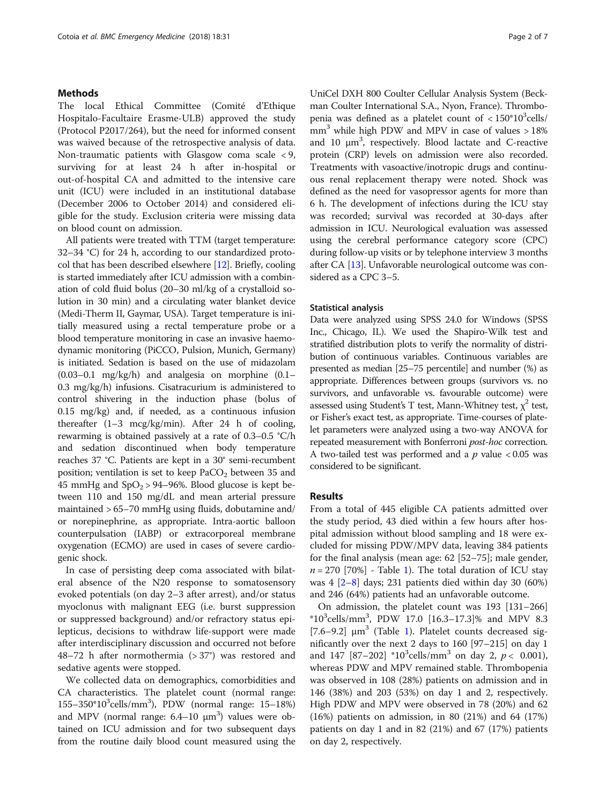# Methods

The local Ethical Committee (Comité d'Ethique Hospitalo-Facultaire Erasme-ULB) approved the study (Protocol P2017/264), but the need for informed consent was waived because of the retrospective analysis of data. Non-traumatic patients with Glasgow coma scale < 9, surviving for at least 24 h after in-hospital or out-of-hospital CA and admitted to the intensive care unit (ICU) were included in an institutional database (December 2006 to October 2014) and considered eligible for the study. Exclusion criteria were missing data on blood count on admission.

All patients were treated with TTM (target temperature: 32–34 °C) for 24 h, according to our standardized protocol that has been described elsewhere [\[12\]](#page-6-0). Briefly, cooling is started immediately after ICU admission with a combination of cold fluid bolus (20–30 ml/kg of a crystalloid solution in 30 min) and a circulating water blanket device (Medi-Therm II, Gaymar, USA). Target temperature is initially measured using a rectal temperature probe or a blood temperature monitoring in case an invasive haemodynamic monitoring (PiCCO, Pulsion, Munich, Germany) is initiated. Sedation is based on the use of midazolam  $(0.03-0.1 \, \text{mg/kg/h})$  and analgesia on morphine  $(0.1-\,1.003)$ 0.3 mg/kg/h) infusions. Cisatracurium is administered to control shivering in the induction phase (bolus of 0.15 mg/kg) and, if needed, as a continuous infusion thereafter (1–3 mcg/kg/min). After 24 h of cooling, rewarming is obtained passively at a rate of 0.3–0.5 °C/h and sedation discontinued when body temperature reaches 37 °C. Patients are kept in a 30° semi-recumbent position; ventilation is set to keep  $PaCO<sub>2</sub>$  between 35 and 45 mmHg and  $SpO<sub>2</sub> > 94–96%$ . Blood glucose is kept between 110 and 150 mg/dL and mean arterial pressure maintained > 65–70 mmHg using fluids, dobutamine and/ or norepinephrine, as appropriate. Intra-aortic balloon counterpulsation (IABP) or extracorporeal membrane oxygenation (ECMO) are used in cases of severe cardiogenic shock.

In case of persisting deep coma associated with bilateral absence of the N20 response to somatosensory evoked potentials (on day 2–3 after arrest), and/or status myoclonus with malignant EEG (i.e. burst suppression or suppressed background) and/or refractory status epilepticus, decisions to withdraw life-support were made after interdisciplinary discussion and occurred not before 48–72 h after normothermia  $(>37^{\circ})$  was restored and sedative agents were stopped.

We collected data on demographics, comorbidities and CA characteristics. The platelet count (normal range: 155-350\*10<sup>3</sup>cells/mm<sup>3</sup>), PDW (normal range: 15-18%) and MPV (normal range:  $6.4-10 \mu m^3$ ) values were obtained on ICU admission and for two subsequent days from the routine daily blood count measured using the UniCel DXH 800 Coulter Cellular Analysis System (Beckman Coulter International S.A., Nyon, France). Thrombopenia was defined as a platelet count of  $< 150^*10^3$ cells/  $mm<sup>3</sup>$  while high PDW and MPV in case of values  $>18\%$ and 10  $\mu$ m<sup>3</sup>, respectively. Blood lactate and C-reactive protein (CRP) levels on admission were also recorded. Treatments with vasoactive/inotropic drugs and continuous renal replacement therapy were noted. Shock was defined as the need for vasopressor agents for more than 6 h. The development of infections during the ICU stay was recorded; survival was recorded at 30-days after admission in ICU. Neurological evaluation was assessed using the cerebral performance category score (CPC) during follow-up visits or by telephone interview 3 months after CA [[13](#page-6-0)]. Unfavorable neurological outcome was considered as a CPC 3–5.

#### Statistical analysis

Data were analyzed using SPSS 24.0 for Windows (SPSS Inc., Chicago, IL). We used the Shapiro-Wilk test and stratified distribution plots to verify the normality of distribution of continuous variables. Continuous variables are presented as median [25–75 percentile] and number (%) as appropriate. Differences between groups (survivors vs. no survivors, and unfavorable vs. favourable outcome) were assessed using Student's T test, Mann-Whitney test,  $\chi^2$  test, or Fisher's exact test, as appropriate. Time-courses of platelet parameters were analyzed using a two-way ANOVA for repeated measurement with Bonferroni post-hoc correction. A two-tailed test was performed and a  $p$  value  $< 0.05$  was considered to be significant.

### Results

From a total of 445 eligible CA patients admitted over the study period, 43 died within a few hours after hospital admission without blood sampling and 18 were excluded for missing PDW/MPV data, leaving 384 patients for the final analysis (mean age: 62 [52–75]; male gender,  $n = 270$  [70%] - Table [1\)](#page-2-0). The total duration of ICU stay was 4 [[2](#page-5-0)–[8\]](#page-6-0) days; 231 patients died within day 30 (60%) and 246 (64%) patients had an unfavorable outcome.

On admission, the platelet count was 193 [131–266]  $*10^3$ cells/mm<sup>3</sup>, PDW 17.0 [16.3-17.3]% and MPV 8.3 [7.6–9.2]  $\mu$ m<sup>3</sup> (Table [1](#page-2-0)). Platelet counts decreased significantly over the next 2 days to 160 [97–215] on day 1 and 147 [87-202] \*10<sup>3</sup>cells/mm<sup>3</sup> on day 2,  $p < 0.001$ ), whereas PDW and MPV remained stable. Thrombopenia was observed in 108 (28%) patients on admission and in 146 (38%) and 203 (53%) on day 1 and 2, respectively. High PDW and MPV were observed in 78 (20%) and 62 (16%) patients on admission, in 80 (21%) and 64 (17%) patients on day 1 and in 82 (21%) and 67 (17%) patients on day 2, respectively.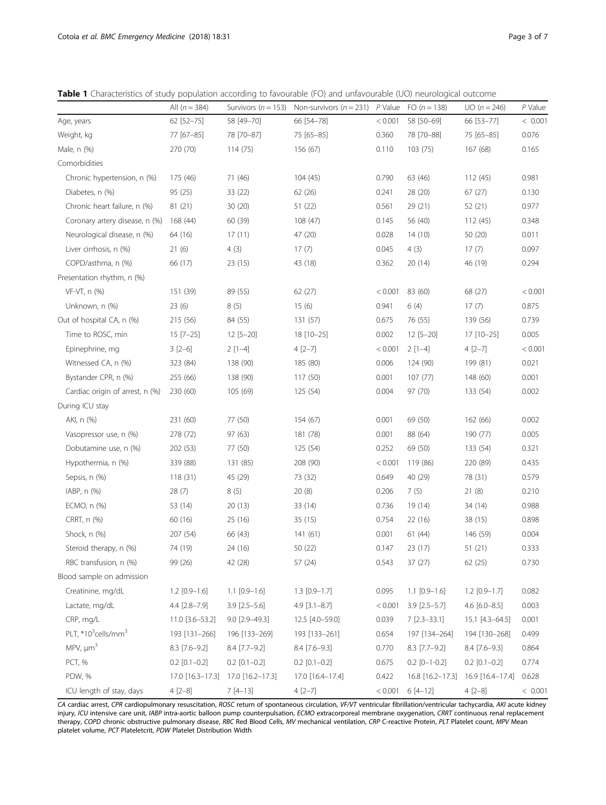<span id="page-2-0"></span>Table 1 Characteristics of study population according to favourable (FO) and unfavourable (UO) neurological outcome

|                                             | All $(n = 384)$  |                     | Survivors ( $n = 153$ ) Non-survivors ( $n = 231$ ) P Value |         | FO $(n = 138)$        | $UO(n = 246)$    | P Value |
|---------------------------------------------|------------------|---------------------|-------------------------------------------------------------|---------|-----------------------|------------------|---------|
| Age, years                                  | 62 [52-75]       | 58 [49-70]          | 66 [54-78]                                                  | < 0.001 | 58 [50-69]            | 66 [53-77]       | < 0.001 |
| Weight, kg                                  | 77 [67-85]       | 78 [70-87]          | 75 [65-85]                                                  | 0.360   | 78 [70-88]            | 75 [65-85]       | 0.076   |
| Male, n (%)                                 | 270 (70)         | 114(75)             | 156 (67)                                                    | 0.110   | 103(75)               | 167 (68)         | 0.165   |
| Comorbidities                               |                  |                     |                                                             |         |                       |                  |         |
| Chronic hypertension, n (%)                 | 175 (46)         | 71 (46)             | 104 (45)                                                    | 0.790   | 63 (46)               | 112(45)          | 0.981   |
| Diabetes, n (%)                             | 95 (25)          | 33 (22)             | 62 (26)                                                     | 0.241   | 28 (20)               | 67(27)           | 0.130   |
| Chronic heart failure, n (%)                | 81(21)           | 30(20)              | 51(22)                                                      | 0.561   | 29 (21)               | 52 (21)          | 0.977   |
| Coronary artery disease, n (%)              | 168 (44)         | 60 (39)             | 108(47)                                                     | 0.145   | 56 (40)               | 112(45)          | 0.348   |
| Neurological disease, n (%)                 | 64 (16)          | 17(11)              | 47 (20)                                                     | 0.028   | 14(10)                | 50 (20)          | 0.011   |
| Liver cirrhosis, n (%)                      | 21(6)            | 4(3)                | 17(7)                                                       | 0.045   | 4(3)                  | 17(7)            | 0.097   |
| COPD/asthma, n (%)                          | 66 (17)          | 23 (15)             | 43 (18)                                                     | 0.362   | 20(14)                | 46 (19)          | 0.294   |
| Presentation rhythm, n (%)                  |                  |                     |                                                             |         |                       |                  |         |
| VF-VT, n (%)                                | 151 (39)         | 89 (55)             | 62(27)                                                      | < 0.001 | 83 (60)               | 68 (27)          | < 0.001 |
| Unknown, n (%)                              | 23(6)            | 8(5)                | 15(6)                                                       | 0.941   | 6(4)                  | 17(7)            | 0.875   |
| Out of hospital CA, n (%)                   | 215 (56)         | 84 (55)             | 131(57)                                                     | 0.675   | 76 (55)               | 139 (56)         | 0.739   |
| Time to ROSC, min                           | $15 [7 - 25]$    | $12 [5 - 20]$       | 18 [10-25]                                                  | 0.002   | $12 [5 - 20]$         | 17 [10-25]       | 0.005   |
| Epinephrine, mg                             | $3[2-6]$         | $2[1-4]$            | $4[2-7]$                                                    | < 0.001 | $2[1-4]$              | $4[2-7]$         | < 0.001 |
| Witnessed CA, n (%)                         | 323 (84)         | 138 (90)            | 185 (80)                                                    | 0.006   | 124 (90)              | 199 (81)         | 0.021   |
| Bystander CPR, n (%)                        | 255 (66)         | 138 (90)            | 117 (50)                                                    | 0.001   | 107(77)               | 148 (60)         | 0.001   |
| Cardiac origin of arrest, n (%)             | 230 (60)         | 105 (69)            | 125 (54)                                                    | 0.004   | 97 (70)               | 133 (54)         | 0.002   |
| During ICU stay                             |                  |                     |                                                             |         |                       |                  |         |
| AKI, n (%)                                  | 231 (60)         | 77 (50)             | 154 (67)                                                    | 0.001   | 69 (50)               | 162 (66)         | 0.002   |
| Vasopressor use, n (%)                      | 278 (72)         | 97 (63)             | 181 (78)                                                    | 0.001   | 88 (64)               | 190 (77)         | 0.005   |
| Dobutamine use, n (%)                       | 202 (53)         | 77 (50)             | 125 (54)                                                    | 0.252   | 69 (50)               | 133 (54)         | 0.321   |
| Hypothermia, n (%)                          | 339 (88)         | 131 (85)            | 208 (90)                                                    | < 0.001 | 119 (86)              | 220 (89)         | 0.435   |
| Sepsis, n (%)                               | 118(31)          | 45 (29)             | 73 (32)                                                     | 0.649   | 40 (29)               | 78 (31)          | 0.579   |
| IABP, $n$ $(\%)$                            | 28(7)            | 8(5)                | 20(8)                                                       | 0.206   | 7(5)                  | 21(8)            | 0.210   |
| ECMO, n (%)                                 | 53 (14)          | 20(13)              | 33 (14)                                                     | 0.736   | 19 (14)               | 34 (14)          | 0.988   |
| CRRT, n (%)                                 | 60 (16)          | 25(16)              | 35 (15)                                                     | 0.754   | 22(16)                | 38 (15)          | 0.898   |
| Shock, n (%)                                | 207 (54)         | 66 (43)             | 141(61)                                                     | 0.001   | 61 (44)               | 146 (59)         | 0.004   |
| Steroid therapy, n (%)                      | 74 (19)          | 24 (16)             | 50 (22)                                                     | 0.147   | 23(17)                | 51 (21)          | 0.333   |
| RBC transfusion, n (%)                      | 99 (26)          | 42 (28)             | 57 (24)                                                     | 0.543   | 37 (27)               | 62 (25)          | 0.730   |
| Blood sample on admission                   |                  |                     |                                                             |         |                       |                  |         |
| Creatinine, mg/dL                           | $1.2$ [0.9-1.6]  | $1.1$ $[0.9-1.6]$   | $1.3$ [0.9-1.7]                                             | 0.095   | $1.1$ $[0.9-1.6]$     | $1.2$ [0.9-1.7]  | 0.082   |
| Lactate, mg/dL                              | 4.4 [2.8-7.9]    | $3.9$ $[2.5 - 5.6]$ | $4.9$ [3.1-8.7]                                             | < 0.001 | $3.9$ [ $2.5 - 5.7$ ] | 4.6 [6.0-8.5]    | 0.003   |
| CRP, mg/L                                   | 11.0 [3.6–53.2]  | 9.0 [2.9-49.3]      | 12.5 [4.0-59.0]                                             | 0.039   | $7$ [2.3-33.1]        | 15.1 [4.3-64.5]  | 0.001   |
| PLT, *10 <sup>3</sup> cells/mm <sup>3</sup> | 193 [131-266]    | 196 [133-269]       | 193 [133-261]                                               | 0.654   | 197 [134-264]         | 194 [130-268]    | 0.499   |
| MPV, $\mu m^3$                              | $8.3$ [7.6-9.2]  | 8.4 [7.7-9.2]       | 8.4 [7.6-9.3]                                               | 0.770   | $8.3$ [7.7-9.2]       | $8.4$ [7.6-9.3]  | 0.864   |
| PCT, %                                      | $0.2$ [0.1-0.2]  | $0.2$ [0.1-0.2]     | $0.2$ [0.1-0.2]                                             | 0.675   | $0.2$ [0-1-0.2]       | $0.2$ [0.1-0.2]  | 0.774   |
| PDW, %                                      | 17.0 [16.3-17.3] | 17.0 [16.2-17.3]    | 17.0 [16.4-17.4]                                            | 0.422   | 16.8 [16.2-17.3]      | 16.9 [16.4-17.4] | 0.628   |
| ICU length of stay, days                    | $4 [2 - 8]$      | $7[4-13]$           | $4 [2 - 7]$                                                 | < 0.001 | $6[4-12]$             | $4 [2 - 8]$      | < 0.001 |

CA cardiac arrest, CPR cardiopulmonary resuscitation, ROSC return of spontaneous circulation, VF/VT ventricular fibrillation/ventricular tachycardia, AKI acute kidney injury, ICU intensive care unit, IABP intra-aortic balloon pump counterpulsation, ECMO extracorporeal membrane oxygenation, CRRT continuous renal replacement therapy, COPD chronic obstructive pulmonary disease, RBC Red Blood Cells, MV mechanical ventilation, CRP C-reactive Protein, PLT Platelet count, MPV Mean platelet volume, PCT Plateletcrit, PDW Platelet Distribution Width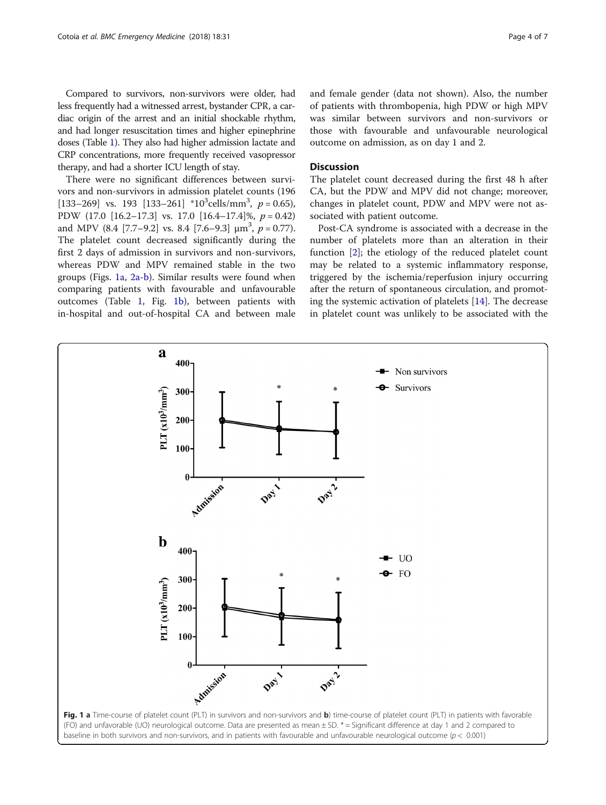Compared to survivors, non-survivors were older, had less frequently had a witnessed arrest, bystander CPR, a cardiac origin of the arrest and an initial shockable rhythm, and had longer resuscitation times and higher epinephrine doses (Table [1\)](#page-2-0). They also had higher admission lactate and CRP concentrations, more frequently received vasopressor therapy, and had a shorter ICU length of stay.

There were no significant differences between survivors and non-survivors in admission platelet counts (196 [133–269] vs. 193 [133–261] \*10<sup>3</sup>cells/mm<sup>3</sup>,  $p = 0.65$ ), PDW (17.0  $[16.2-17.3]$  vs. 17.0  $[16.4-17.4]\%$ ,  $p = 0.42$ ) and MPV  $(8.4 [7.7-9.2] \text{ vs. } 8.4 [7.6-9.3] \text{ µm}^3, p = 0.77)$ . The platelet count decreased significantly during the first 2 days of admission in survivors and non-survivors, whereas PDW and MPV remained stable in the two groups (Figs. 1a, [2a-b](#page-4-0)). Similar results were found when comparing patients with favourable and unfavourable outcomes (Table [1](#page-2-0), Fig. 1b), between patients with in-hospital and out-of-hospital CA and between male and female gender (data not shown). Also, the number of patients with thrombopenia, high PDW or high MPV was similar between survivors and non-survivors or those with favourable and unfavourable neurological outcome on admission, as on day 1 and 2.

# **Discussion**

The platelet count decreased during the first 48 h after CA, but the PDW and MPV did not change; moreover, changes in platelet count, PDW and MPV were not associated with patient outcome.

Post-CA syndrome is associated with a decrease in the number of platelets more than an alteration in their function [\[2](#page-5-0)]; the etiology of the reduced platelet count may be related to a systemic inflammatory response, triggered by the ischemia/reperfusion injury occurring after the return of spontaneous circulation, and promoting the systemic activation of platelets [[14\]](#page-6-0). The decrease in platelet count was unlikely to be associated with the

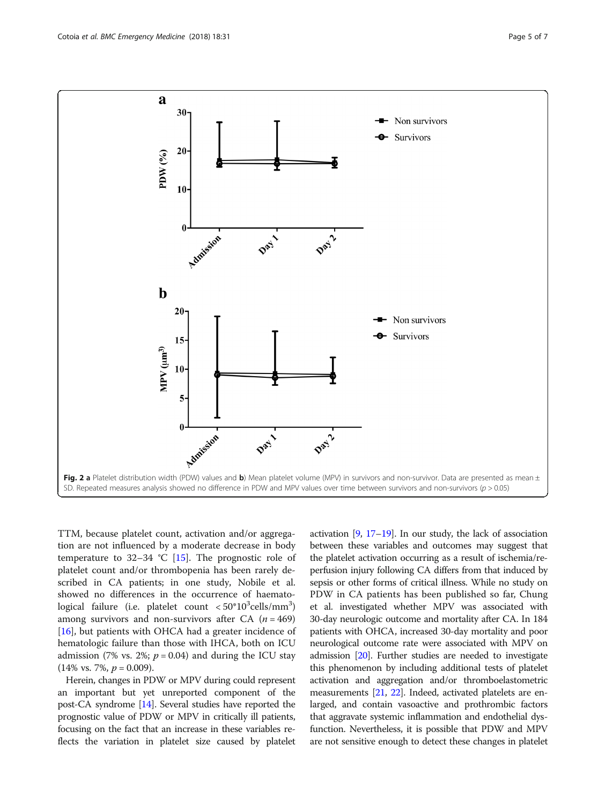<span id="page-4-0"></span>

TTM, because platelet count, activation and/or aggregation are not influenced by a moderate decrease in body temperature to 32–34 °C [[15\]](#page-6-0). The prognostic role of platelet count and/or thrombopenia has been rarely described in CA patients; in one study, Nobile et al. showed no differences in the occurrence of haemato $logical$  failure (i.e. platelet count  $< 50^{\circ}10^3$ cells/mm $^3)$ among survivors and non-survivors after CA  $(n = 469)$ [[16\]](#page-6-0), but patients with OHCA had a greater incidence of hematologic failure than those with IHCA, both on ICU admission (7% vs. 2%;  $p = 0.04$ ) and during the ICU stay  $(14\% \text{ vs. } 7\%, p = 0.009).$ 

Herein, changes in PDW or MPV during could represent an important but yet unreported component of the post-CA syndrome [\[14\]](#page-6-0). Several studies have reported the prognostic value of PDW or MPV in critically ill patients, focusing on the fact that an increase in these variables reflects the variation in platelet size caused by platelet activation  $[9, 17-19]$  $[9, 17-19]$  $[9, 17-19]$  $[9, 17-19]$  $[9, 17-19]$ . In our study, the lack of association between these variables and outcomes may suggest that the platelet activation occurring as a result of ischemia/reperfusion injury following CA differs from that induced by sepsis or other forms of critical illness. While no study on PDW in CA patients has been published so far, Chung et al. investigated whether MPV was associated with 30-day neurologic outcome and mortality after CA. In 184 patients with OHCA, increased 30-day mortality and poor neurological outcome rate were associated with MPV on admission [[20](#page-6-0)]. Further studies are needed to investigate this phenomenon by including additional tests of platelet activation and aggregation and/or thromboelastometric measurements [\[21](#page-6-0), [22\]](#page-6-0). Indeed, activated platelets are enlarged, and contain vasoactive and prothrombic factors that aggravate systemic inflammation and endothelial dysfunction. Nevertheless, it is possible that PDW and MPV are not sensitive enough to detect these changes in platelet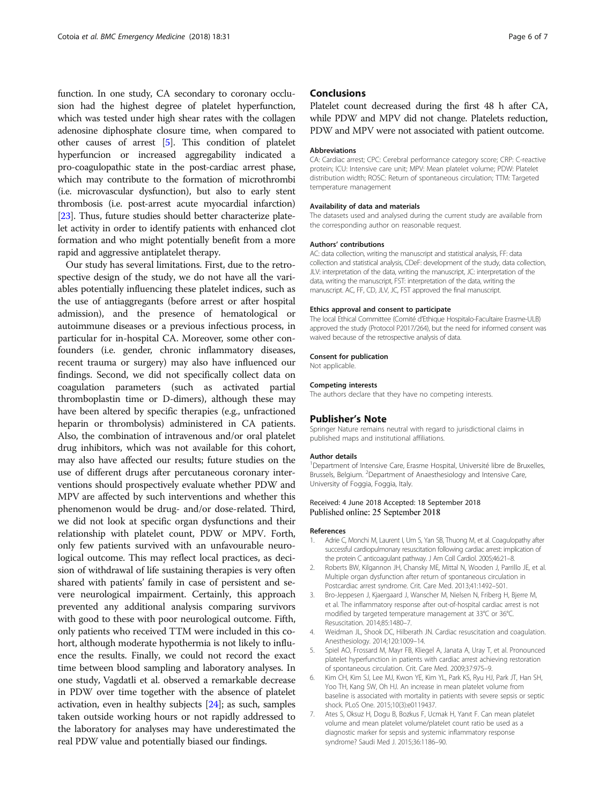<span id="page-5-0"></span>function. In one study, CA secondary to coronary occlusion had the highest degree of platelet hyperfunction, which was tested under high shear rates with the collagen adenosine diphosphate closure time, when compared to other causes of arrest [5]. This condition of platelet hyperfuncion or increased aggregability indicated a pro-coagulopathic state in the post-cardiac arrest phase, which may contribute to the formation of microthrombi (i.e. microvascular dysfunction), but also to early stent thrombosis (i.e. post-arrest acute myocardial infarction) [[23](#page-6-0)]. Thus, future studies should better characterize platelet activity in order to identify patients with enhanced clot formation and who might potentially benefit from a more rapid and aggressive antiplatelet therapy.

Our study has several limitations. First, due to the retrospective design of the study, we do not have all the variables potentially influencing these platelet indices, such as the use of antiaggregants (before arrest or after hospital admission), and the presence of hematological or autoimmune diseases or a previous infectious process, in particular for in-hospital CA. Moreover, some other confounders (i.e. gender, chronic inflammatory diseases, recent trauma or surgery) may also have influenced our findings. Second, we did not specifically collect data on coagulation parameters (such as activated partial thromboplastin time or D-dimers), although these may have been altered by specific therapies (e.g., unfractioned heparin or thrombolysis) administered in CA patients. Also, the combination of intravenous and/or oral platelet drug inhibitors, which was not available for this cohort, may also have affected our results; future studies on the use of different drugs after percutaneous coronary interventions should prospectively evaluate whether PDW and MPV are affected by such interventions and whether this phenomenon would be drug- and/or dose-related. Third, we did not look at specific organ dysfunctions and their relationship with platelet count, PDW or MPV. Forth, only few patients survived with an unfavourable neurological outcome. This may reflect local practices, as decision of withdrawal of life sustaining therapies is very often shared with patients' family in case of persistent and severe neurological impairment. Certainly, this approach prevented any additional analysis comparing survivors with good to these with poor neurological outcome. Fifth, only patients who received TTM were included in this cohort, although moderate hypothermia is not likely to influence the results. Finally, we could not record the exact time between blood sampling and laboratory analyses. In one study, Vagdatli et al. observed a remarkable decrease in PDW over time together with the absence of platelet activation, even in healthy subjects [\[24\]](#page-6-0); as such, samples taken outside working hours or not rapidly addressed to the laboratory for analyses may have underestimated the real PDW value and potentially biased our findings.

## **Conclusions**

Platelet count decreased during the first 48 h after CA, while PDW and MPV did not change. Platelets reduction, PDW and MPV were not associated with patient outcome.

#### Abbreviations

CA: Cardiac arrest; CPC: Cerebral performance category score; CRP: C-reactive protein; ICU: Intensive care unit; MPV: Mean platelet volume; PDW: Platelet distribution width; ROSC: Return of spontaneous circulation; TTM: Targeted temperature management

#### Availability of data and materials

The datasets used and analysed during the current study are available from the corresponding author on reasonable request.

#### Authors' contributions

AC: data collection, writing the manuscript and statistical analysis, FF: data collection and statistical analysis, CDeF: development of the study, data collection, JLV: interpretation of the data, writing the manuscript, JC: interpretation of the data, writing the manuscript, FST: interpretation of the data, writing the manuscript. AC, FF, CD, JLV, JC, FST approved the final manuscript.

#### Ethics approval and consent to participate

The local Ethical Committee (Comité d'Ethique Hospitalo-Facultaire Erasme-ULB) approved the study (Protocol P2017/264), but the need for informed consent was waived because of the retrospective analysis of data.

#### Consent for publication

Not applicable.

#### Competing interests

The authors declare that they have no competing interests.

#### Publisher's Note

Springer Nature remains neutral with regard to jurisdictional claims in published maps and institutional affiliations.

#### Author details

<sup>1</sup>Department of Intensive Care, Erasme Hospital, Université libre de Bruxelles, Brussels, Belgium. <sup>2</sup>Department of Anaesthesiology and Intensive Care University of Foggia, Foggia, Italy.

#### Received: 4 June 2018 Accepted: 18 September 2018 Published online: 25 September 2018

#### References

- 1. Adrie C, Monchi M, Laurent I, Um S, Yan SB, Thuong M, et al. Coagulopathy after successful cardiopulmonary resuscitation following cardiac arrest: implication of the protein C anticoagulant pathway. J Am Coll Cardiol. 2005;46:21–8.
- 2. Roberts BW, Kilgannon JH, Chansky ME, Mittal N, Wooden J, Parrillo JE, et al. Multiple organ dysfunction after return of spontaneous circulation in Postcardiac arrest syndrome. Crit. Care Med. 2013;41:1492–501.
- 3. Bro-Jeppesen J, Kjaergaard J, Wanscher M, Nielsen N, Friberg H, Bjerre M, et al. The inflammatory response after out-of-hospital cardiac arrest is not modified by targeted temperature management at 33°C or 36°C. Resuscitation. 2014;85:1480–7.
- 4. Weidman JL, Shook DC, Hilberath JN. Cardiac resuscitation and coagulation. Anesthesiology. 2014;120:1009–14.
- 5. Spiel AO, Frossard M, Mayr FB, Kliegel A, Janata A, Uray T, et al. Pronounced platelet hyperfunction in patients with cardiac arrest achieving restoration of spontaneous circulation. Crit. Care Med. 2009;37:975–9.
- 6. Kim CH, Kim SJ, Lee MJ, Kwon YE, Kim YL, Park KS, Ryu HJ, Park JT, Han SH, Yoo TH, Kang SW, Oh HJ. An increase in mean platelet volume from baseline is associated with mortality in patients with severe sepsis or septic shock. PLoS One. 2015;10(3):e0119437.
- 7. Ates S, Oksuz H, Dogu B, Bozkus F, Ucmak H, Yanıt F. Can mean platelet volume and mean platelet volume/platelet count ratio be used as a diagnostic marker for sepsis and systemic inflammatory response syndrome? Saudi Med J. 2015;36:1186–90.